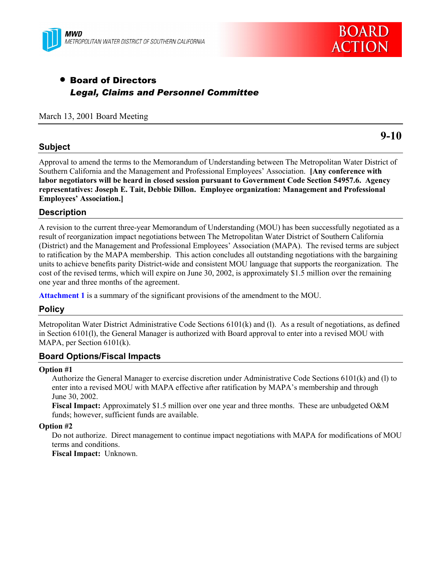



# • Board of Directors *Legal, Claims and Personnel Committee*

March 13, 2001 Board Meeting

## **Subject**

**9-10**

Approval to amend the terms to the Memorandum of Understanding between The Metropolitan Water District of Southern California and the Management and Professional Employees' Association. **[Any conference with labor negotiators will be heard in closed session pursuant to Government Code Section 54957.6. Agency representatives: Joseph E. Tait, Debbie Dillon. Employee organization: Management and Professional Employees' Association.]**

## **Description**

A revision to the current three-year Memorandum of Understanding (MOU) has been successfully negotiated as a result of reorganization impact negotiations between The Metropolitan Water District of Southern California (District) and the Management and Professional Employees' Association (MAPA). The revised terms are subject to ratification by the MAPA membership. This action concludes all outstanding negotiations with the bargaining units to achieve benefits parity District-wide and consistent MOU language that supports the reorganization. The cost of the revised terms, which will expire on June 30, 2002, is approximately \$1.5 million over the remaining one year and three months of the agreement.

**Attachment 1** is a summary of the significant provisions of the amendment to the MOU.

### **Policy**

Metropolitan Water District Administrative Code Sections 6101(k) and (l). As a result of negotiations, as defined in Section 6101(l), the General Manager is authorized with Board approval to enter into a revised MOU with MAPA, per Section 6101(k).

### **Board Options/Fiscal Impacts**

#### **Option #1**

Authorize the General Manager to exercise discretion under Administrative Code Sections 6101(k) and (l) to enter into a revised MOU with MAPA effective after ratification by MAPA's membership and through June 30, 2002.

**Fiscal Impact:** Approximately \$1.5 million over one year and three months. These are unbudgeted O&M funds; however, sufficient funds are available.

#### **Option #2**

Do not authorize. Direct management to continue impact negotiations with MAPA for modifications of MOU terms and conditions.

**Fiscal Impact:** Unknown.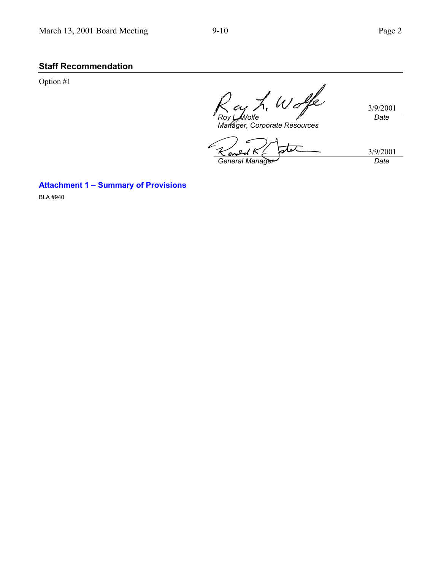# **Staff Recommendation**

Option #1

Wolfe 3/9/2001 *Roy L. Wolfe Date*

*Manager, Corporate Resources*

 $\frac{3/9/2001}{Date}$ *General Manager* 

**Attachment 1 – Summary of Provisions**

BLA #940